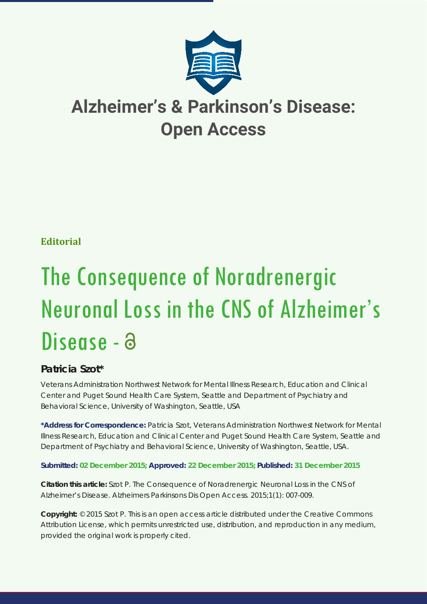

# **Alzheimer's & Parkinson's Disease: Open Access**

# **Editorial**

# The Consequence of Noradrenergic Neuronal Loss in the CNS of Alzheimer's Disease - a

# **Patricia Szot\***

*Veterans Administration Northwest Network for Mental Illness Research, Education and Clinical Center and Puget Sound Health Care System, Seattle and Department of Psychiatry and Behavioral Science, University of Washington, Seattle, USA*

**\*Address for Correspondence:** Patricia Szot, Veterans Administration Northwest Network for Mental Illness Research, Education and Clinical Center and Puget Sound Health Care System, Seattle and Department of Psychiatry and Behavioral Science, University of Washington, Seattle, USA.

## **Submitted: 02 December 2015; Approved: 22 December 2015; Published: 31 December 2015**

**Citation this article:** Szot P. The Consequence of Noradrenergic Neuronal Loss in the CNS of Alzheimer's Disease. Alzheimers Parkinsons Dis Open Access. 2015;1(1): 007-009.

**Copyright:** © 2015 Szot P. This is an open access article distributed under the Creative Commons Attribution License, which permits unrestricted use, distribution, and reproduction in any medium, provided the original work is properly cited.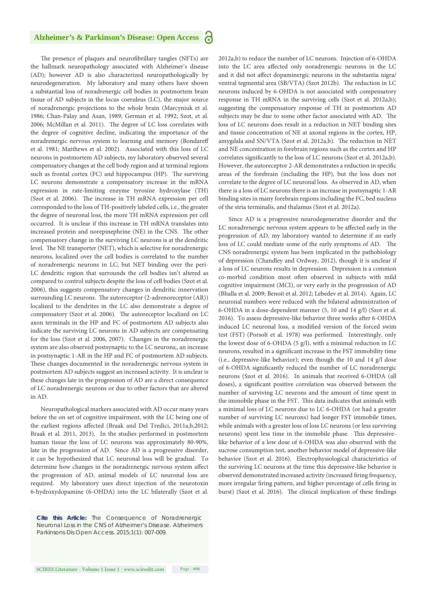#### **Alzheimer's & Parkinson's Disease: Open Access** a

The presence of plaques and neurofibrillary tangles (NFTs) are the hallmark neuropathology associated with Alzheimer's disease (AD); however AD is also characterized neuropathologically by neurodegeneration. My laboratory and many others have shown a substantial loss of noradrenergic cell bodies in postmortem brain tissue of AD subjects in the locus coeruleus (LC), the major source of noradrenergic projections to the whole brain (Marcyniuk et al. 1986; Chan-Palay and Asan, 1989; German et al. 1992; Szot, et al. 2006; McMillan et al. 2011). The degree of LC loss correlates with the degree of cognitive decline, indicating the importance of the noradrenergic nervous system to learning and memory (Bondareff et al. 1981; Matthews et al. 2002). Associated with this loss of LC neurons in postmortem AD subjects, my laboratory observed several compensatory changes at the cell body region and at terminal regions such as frontal cortex (FC) and hippocampus (HP). The surviving LC neurons demonstrate a compensatory increase in the mRNA expression in rate-limiting enzyme tyrosine hydroxylase (TH) (Szot et al. 2006). The increase in TH mRNA expression per cell corresponded to the loss of TH-positively labeled cells, i.e., the greater the degree of neuronal loss, the more TH mRNA expression per cell occurred. It is unclear if this increase in TH mRNA translates into increased protein and norepinephrine (NE) in the CNS. The other compensatory change in the surviving LC neurons is at the dendritic level. The NE transporter (NET), which is selective for noradrenergic neurons, localized over the cell bodies is correlated to the number of noradrenergic neurons in LC; but NET binding over the peri-LC dendritic region that surrounds the cell bodies isn't altered as compared to control subjects despite the loss of cell bodies (Szot et al. 2006), this suggests compensatory changes in dendritic innervation surrounding LC neurons. The autoreceptor (2-adrenoreceptor (AR)) localized to the dendrites in the LC also demonstrate a degree of compensatory (Szot et al. 2006). The autoreceptor localized on LC axon terminals in the HP and FC of postmortem AD subjects also indicate the surviving LC neurons in AD subjects are compensating for the loss (Szot et al. 2006, 2007). Changes in the noradrenergic system are also observed postsynaptic to the LC neurons;, an increase in postsynaptic 1-AR in the HP and FC of postmortem AD subjects. These changes documented in the noradrenergic nervous system in postmortem AD subjects suggest an increased activity. It is unclear is these changes late in the progression of AD are a direct consequence of LC noradrenergic neurons or due to other factors that are altered in AD.

Neuropathological markers associated with AD occur many years before the on set of cognitive impairment, with the LC being one of the earliest regions affected (Braak and Del Tredici, 2011a,b,2012; Braak et al. 2011, 2013). In the studies performed in postmortem human tissue the loss of LC neurons was approximately 80-90%, late in the progression of AD. Since AD is a progressive disorder, it can be hypothesized that LC neuronal loss will be gradual. To determine how changes in the noradrenergic nervous system affect the progression of AD, animal models of LC neuronal loss are required. My laboratory uses direct injection of the neurotoxin 6-hydroxydopamine (6-OHDA) into the LC bilaterally (Szot et al.

*Cite this Article: The Consequence of Noradrenergic Neuronal Loss in the CNS of Alzheimer's Disease. Alzheimers Parkinsons Dis Open Access. 2015;1(1): 007-009.*

2012a,b) to reduce the number of LC neurons. Injection of 6-OHDA into the LC area affected only noradrenergic neurons in the LC and it did not affect dopaminergic neurons in the substantia nigra/ ventral tegmental area (SB/VTA) (Szot 2012b). The reduction in LC neurons induced by 6-OHDA is not associated with compensatory response in TH mRNA in the surviving cells (Szot et al. 2012a,b); suggesting the compensatory response of TH in postmortem AD subjects may be due to some other factor associated with AD. The loss of LC neurons does result in a reduction in NET binding sites and tissue concentration of NE at axonal regions in the cortex, HP, amygdala and SN/VTA (Szot et al. 2012a,b). The reduction in NET and NE concentration in forebrain regions such as the cortex and HP correlates significantly to the loss of LC neurons (Szot et al. 2012a,b). However, the autoreceptor 2-AR demonstrates a reduction in specific areas of the forebrain (including the HP), but the loss does not correlate to the degree of LC neuronal loss. As observed in AD, when there is a loss of LC neurons there is an increase in postsynaptic 1-AR binding sites in many forebrain regions including the FC, bed nucleus of the stria terminalis, and thalamus (Szot et al. 2012a).

Since AD is a progressive neurodegenerative disorder and the LC noradrenergic nervous system appears to be affected early in the progression of AD, my laboratory wanted to determine if an early loss of LC could mediate some of the early symptoms of AD. The CNS noradrenergic system has been implicated in the pathobiology of depression (Chandley and Ordway, 2012), though it is unclear if a loss of LC neurons results in depression. Depression is a common co-morbid condition most often observed in subjects with mild cognitive impairment (MCI), or very early in the progression of AD (Bhalla et al. 2009; Benoit et al. 2012; Lebedev et al. 2014). Again, LC neuronal numbers were reduced with the bilateral administration of 6-OHDA in a dose-dependent manner (5, 10 and 14 g/l) (Szot et al. 2016). To assess depressive-like behavior three weeks after 6-OHDA induced LC neuronal loss, a modified version of the forced swim test (FST) (Porsolt et al. 1978) was performed. Interestingly, only the lowest dose of 6-OHDA (5 g/l), with a minimal reduction in LC neurons, resulted in a significant increase in the FST immobility time (i.e., depressive-like behavior); even though the 10 and 14 g/l dose of 6-OHDA significantly reduced the number of LC noradrenergic neurons (Szot et al. 2016). In animals that received 6-OHDA (all doses), a significant positive correlation was observed between the number of surviving LC neurons and the amount of time spent in the immobile phase in the FST. This data indicates that animals with a minimal loss of LC neurons due to LC 6-OHDA (or had a greater number of surviving LC neurons) had longer FST immobile times, while animals with a greater loss of loss LC neurons (or less surviving neurons) spent less time in the immobile phase. This depressivelike behavior of a low dose of 6-OHDA was also observed with the sucrose consumption test, another behavior model of depressive-like behavior (Szot et al. 2016). Electrophysiological characteristics of the surviving LC neurons at the time this depressive-like behavior is observed demonstrated increased activity (increased firing frequency, more irregular firing pattern, and higher percentage of cells firing in burst) (Szot et al. 2016). The clinical implication of these findings